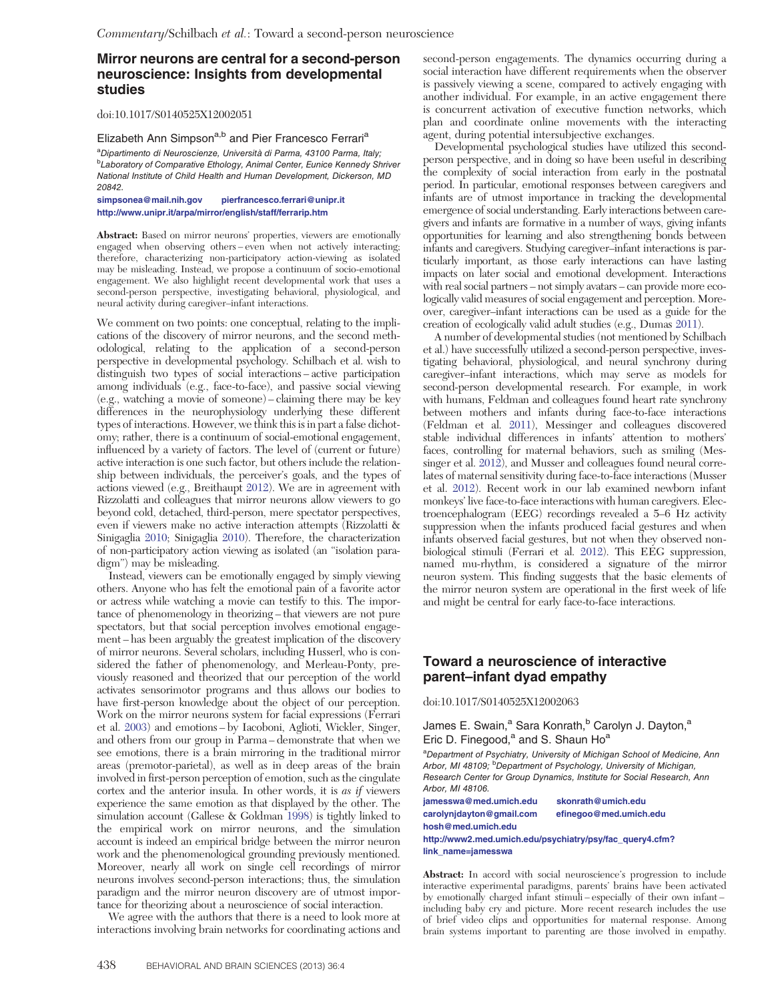## Mirror neurons are central for a second-person neuroscience: Insights from developmental studies

#### doi:10.1017/S0140525X12002051

Elizabeth Ann Simpson<sup>a,b</sup> and Pier Francesco Ferrari<sup>a</sup>

aDipartimento di Neuroscienze, Università di Parma, 43100 Parma, Italy; <sup>b</sup>Laboratory of Comparative Ethology, Animal Center, Eunice Kennedy Shriver National Institute of Child Health and Human Development, Dickerson, MD 20842.

simpsonea@mail.nih.gov pierfrancesco.ferrari@unipr.it http://www.unipr.it/arpa/mirror/english/staff/ferrarip.htm

Abstract: Based on mirror neurons' properties, viewers are emotionally engaged when observing others – even when not actively interacting; therefore, characterizing non-participatory action-viewing as isolated may be misleading. Instead, we propose a continuum of socio-emotional engagement. We also highlight recent developmental work that uses a second-person perspective, investigating behavioral, physiological, and neural activity during caregiver–infant interactions.

We comment on two points: one conceptual, relating to the implications of the discovery of mirror neurons, and the second methodological, relating to the application of a second-person perspective in developmental psychology. Schilbach et al. wish to distinguish two types of social interactions – active participation among individuals (e.g., face-to-face), and passive social viewing (e.g., watching a movie of someone) – claiming there may be key differences in the neurophysiology underlying these different types of interactions. However, we think this is in part a false dichotomy; rather, there is a continuum of social-emotional engagement, influenced by a variety of factors. The level of (current or future) active interaction is one such factor, but others include the relationship between individuals, the perceiver's goals, and the types of actions viewed (e.g., Breithaupt 2012). We are in agreement with Rizzolatti and colleagues that mirror neurons allow viewers to go beyond cold, detached, third-person, mere spectator perspectives, even if viewers make no active interaction attempts (Rizzolatti & Sinigaglia 2010; Sinigaglia 2010). Therefore, the characterization of non-participatory action viewing as isolated (an "isolation paradigm") may be misleading.

Instead, viewers can be emotionally engaged by simply viewing others. Anyone who has felt the emotional pain of a favorite actor or actress while watching a movie can testify to this. The importance of phenomenology in theorizing – that viewers are not pure spectators, but that social perception involves emotional engagement – has been arguably the greatest implication of the discovery of mirror neurons. Several scholars, including Husserl, who is considered the father of phenomenology, and Merleau-Ponty, previously reasoned and theorized that our perception of the world activates sensorimotor programs and thus allows our bodies to have first-person knowledge about the object of our perception. Work on the mirror neurons system for facial expressions (Ferrari et al. 2003) and emotions – by Iacoboni, Aglioti, Wickler, Singer, and others from our group in Parma – demonstrate that when we see emotions, there is a brain mirroring in the traditional mirror areas (premotor-parietal), as well as in deep areas of the brain involved in first-person perception of emotion, such as the cingulate cortex and the anterior insula. In other words, it is as if viewers experience the same emotion as that displayed by the other. The simulation account (Gallese & Goldman 1998) is tightly linked to the empirical work on mirror neurons, and the simulation account is indeed an empirical bridge between the mirror neuron work and the phenomenological grounding previously mentioned. Moreover, nearly all work on single cell recordings of mirror neurons involves second-person interactions; thus, the simulation paradigm and the mirror neuron discovery are of utmost importance for theorizing about a neuroscience of social interaction.

We agree with the authors that there is a need to look more at interactions involving brain networks for coordinating actions and second-person engagements. The dynamics occurring during a social interaction have different requirements when the observer is passively viewing a scene, compared to actively engaging with another individual. For example, in an active engagement there is concurrent activation of executive function networks, which plan and coordinate online movements with the interacting agent, during potential intersubjective exchanges.

Developmental psychological studies have utilized this secondperson perspective, and in doing so have been useful in describing the complexity of social interaction from early in the postnatal period. In particular, emotional responses between caregivers and infants are of utmost importance in tracking the developmental emergence of social understanding. Early interactions between caregivers and infants are formative in a number of ways, giving infants opportunities for learning and also strengthening bonds between infants and caregivers. Studying caregiver–infant interactions is particularly important, as those early interactions can have lasting impacts on later social and emotional development. Interactions with real social partners – not simply avatars – can provide more ecologically valid measures of social engagement and perception. Moreover, caregiver–infant interactions can be used as a guide for the creation of ecologically valid adult studies (e.g., Dumas 2011).

A number of developmental studies (not mentioned by Schilbach et al.) have successfully utilized a second-person perspective, investigating behavioral, physiological, and neural synchrony during caregiver–infant interactions, which may serve as models for second-person developmental research. For example, in work with humans, Feldman and colleagues found heart rate synchrony between mothers and infants during face-to-face interactions (Feldman et al. 2011), Messinger and colleagues discovered stable individual differences in infants' attention to mothers' faces, controlling for maternal behaviors, such as smiling (Messinger et al. 2012), and Musser and colleagues found neural correlates of maternal sensitivity during face-to-face interactions (Musser et al. 2012). Recent work in our lab examined newborn infant monkeys' live face-to-face interactions with human caregivers. Electroencephalogram (EEG) recordings revealed a 5–6 Hz activity suppression when the infants produced facial gestures and when infants observed facial gestures, but not when they observed nonbiological stimuli (Ferrari et al. 2012). This EEG suppression, named mu-rhythm, is considered a signature of the mirror neuron system. This finding suggests that the basic elements of the mirror neuron system are operational in the first week of life and might be central for early face-to-face interactions.

# Toward a neuroscience of interactive parent–infant dyad empathy

doi:10.1017/S0140525X12002063

James E. Swain,<sup>a</sup> Sara Konrath,<sup>b</sup> Carolyn J. Dayton,<sup>a</sup> Eric D. Finegood,<sup>a</sup> and S. Shaun Ho<sup>a</sup>

<sup>a</sup>Department of Psychiatry, University of Michigan School of Medicine, Ann Arbor, MI 48109; <sup>b</sup>Department of Psychology, University of Michigan, Research Center for Group Dynamics, Institute for Social Research, Ann Arbor, MI 48106.

jamesswa@med.umich.edu skonrath@umich.edu hosh@med.umich.edu

carolynjdayton@gmail.com efinegoo@med.umich.edu

http://www2.med.umich.edu/psychiatry/psy/fac\_query4.cfm? link\_name=jamesswa

Abstract: In accord with social neuroscience's progression to include interactive experimental paradigms, parents' brains have been activated by emotionally charged infant stimuli – especially of their own infant – including baby cry and picture. More recent research includes the use of brief video clips and opportunities for maternal response. Among brain systems important to parenting are those involved in empathy.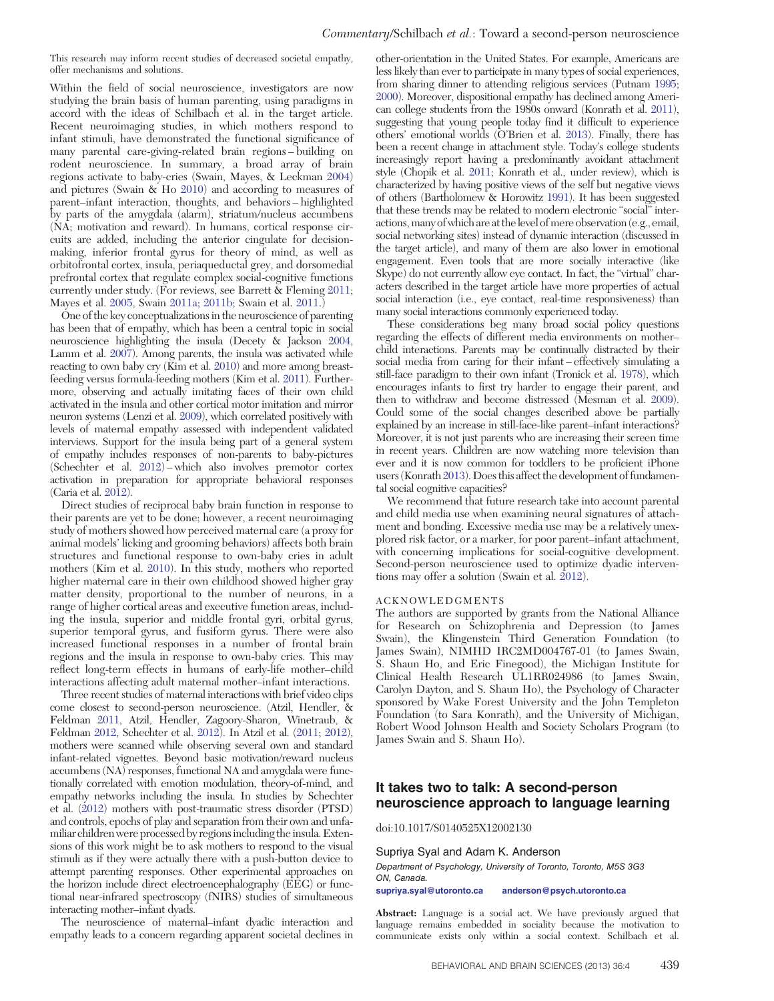This research may inform recent studies of decreased societal empathy, offer mechanisms and solutions.

Within the field of social neuroscience, investigators are now studying the brain basis of human parenting, using paradigms in accord with the ideas of Schilbach et al. in the target article. Recent neuroimaging studies, in which mothers respond to infant stimuli, have demonstrated the functional significance of many parental care-giving-related brain regions – building on rodent neuroscience. In summary, a broad array of brain regions activate to baby-cries (Swain, Mayes, & Leckman 2004) and pictures (Swain & Ho 2010) and according to measures of parent–infant interaction, thoughts, and behaviors – highlighted by parts of the amygdala (alarm), striatum/nucleus accumbens (NA; motivation and reward). In humans, cortical response circuits are added, including the anterior cingulate for decisionmaking, inferior frontal gyrus for theory of mind, as well as orbitofrontal cortex, insula, periaqueductal grey, and dorsomedial prefrontal cortex that regulate complex social-cognitive functions currently under study. (For reviews, see Barrett & Fleming 2011; Mayes et al. 2005, Swain 2011a; 2011b; Swain et al. 2011.)

One of the key conceptualizations in the neuroscience of parenting has been that of empathy, which has been a central topic in social neuroscience highlighting the insula (Decety & Jackson 2004, Lamm et al. 2007). Among parents, the insula was activated while reacting to own baby cry (Kim et al. 2010) and more among breastfeeding versus formula-feeding mothers (Kim et al. 2011). Furthermore, observing and actually imitating faces of their own child activated in the insula and other cortical motor imitation and mirror neuron systems (Lenzi et al. 2009), which correlated positively with levels of maternal empathy assessed with independent validated interviews. Support for the insula being part of a general system of empathy includes responses of non-parents to baby-pictures (Schechter et al. 2012) – which also involves premotor cortex activation in preparation for appropriate behavioral responses (Caria et al. 2012).

Direct studies of reciprocal baby brain function in response to their parents are yet to be done; however, a recent neuroimaging study of mothers showed how perceived maternal care (a proxy for animal models' licking and grooming behaviors) affects both brain structures and functional response to own-baby cries in adult mothers (Kim et al. 2010). In this study, mothers who reported higher maternal care in their own childhood showed higher gray matter density, proportional to the number of neurons, in a range of higher cortical areas and executive function areas, including the insula, superior and middle frontal gyri, orbital gyrus, superior temporal gyrus, and fusiform gyrus. There were also increased functional responses in a number of frontal brain regions and the insula in response to own-baby cries. This may reflect long-term effects in humans of early-life mother–child interactions affecting adult maternal mother–infant interactions.

Three recent studies of maternal interactions with brief video clips come closest to second-person neuroscience. (Atzil, Hendler, & Feldman 2011, Atzil, Hendler, Zagoory-Sharon, Winetraub, & Feldman 2012, Schechter et al. 2012). In Atzil et al. (2011; 2012), mothers were scanned while observing several own and standard infant-related vignettes. Beyond basic motivation/reward nucleus accumbens (NA) responses, functional NA and amygdala were functionally correlated with emotion modulation, theory-of-mind, and empathy networks including the insula. In studies by Schechter et al. (2012) mothers with post-traumatic stress disorder (PTSD) and controls, epochs of play and separation from their own and unfamiliar children were processed by regions including the insula. Extensions of this work might be to ask mothers to respond to the visual stimuli as if they were actually there with a push-button device to attempt parenting responses. Other experimental approaches on the horizon include direct electroencephalography (EEG) or functional near-infrared spectroscopy (fNIRS) studies of simultaneous interacting mother–infant dyads.

The neuroscience of maternal–infant dyadic interaction and empathy leads to a concern regarding apparent societal declines in

other-orientation in the United States. For example, Americans are less likely than ever to participate in many types of social experiences, from sharing dinner to attending religious services (Putnam 1995; 2000). Moreover, dispositional empathy has declined among American college students from the 1980s onward (Konrath et al. 2011), suggesting that young people today find it difficult to experience others' emotional worlds (O'Brien et al. 2013). Finally, there has been a recent change in attachment style. Today's college students increasingly report having a predominantly avoidant attachment style (Chopik et al. 2011; Konrath et al., under review), which is characterized by having positive views of the self but negative views of others (Bartholomew & Horowitz 1991). It has been suggested that these trends may be related to modern electronic "social" interactions, many of which are at the level of mere observation (e.g., email, social networking sites) instead of dynamic interaction (discussed in the target article), and many of them are also lower in emotional engagement. Even tools that are more socially interactive (like Skype) do not currently allow eye contact. In fact, the "virtual" characters described in the target article have more properties of actual social interaction (i.e., eye contact, real-time responsiveness) than many social interactions commonly experienced today.

These considerations beg many broad social policy questions regarding the effects of different media environments on mother– child interactions. Parents may be continually distracted by their social media from caring for their infant – effectively simulating a still-face paradigm to their own infant (Tronick et al. 1978), which encourages infants to first try harder to engage their parent, and then to withdraw and become distressed (Mesman et al. 2009). Could some of the social changes described above be partially explained by an increase in still-face-like parent–infant interactions? Moreover, it is not just parents who are increasing their screen time in recent years. Children are now watching more television than ever and it is now common for toddlers to be proficient iPhone users (Konrath 2013). Does this affect the development of fundamental social cognitive capacities?

We recommend that future research take into account parental and child media use when examining neural signatures of attachment and bonding. Excessive media use may be a relatively unexplored risk factor, or a marker, for poor parent–infant attachment, with concerning implications for social-cognitive development. Second-person neuroscience used to optimize dyadic interventions may offer a solution (Swain et al. 2012).

### **ACKNOWLEDGMENTS**

The authors are supported by grants from the National Alliance for Research on Schizophrenia and Depression (to James Swain), the Klingenstein Third Generation Foundation (to James Swain), NIMHD IRC2MD004767-01 (to James Swain, S. Shaun Ho, and Eric Finegood), the Michigan Institute for Clinical Health Research UL1RR024986 (to James Swain, Carolyn Dayton, and S. Shaun Ho), the Psychology of Character sponsored by Wake Forest University and the John Templeton Foundation (to Sara Konrath), and the University of Michigan, Robert Wood Johnson Health and Society Scholars Program (to James Swain and S. Shaun Ho).

### It takes two to talk: A second-person neuroscience approach to language learning

doi:10.1017/S0140525X12002130

Supriya Syal and Adam K. Anderson

Department of Psychology, University of Toronto, Toronto, M5S 3G3 ON, Canada.

supriya.syal@utoronto.ca anderson@psych.utoronto.ca

Abstract: Language is a social act. We have previously argued that language remains embedded in sociality because the motivation to communicate exists only within a social context. Schilbach et al.